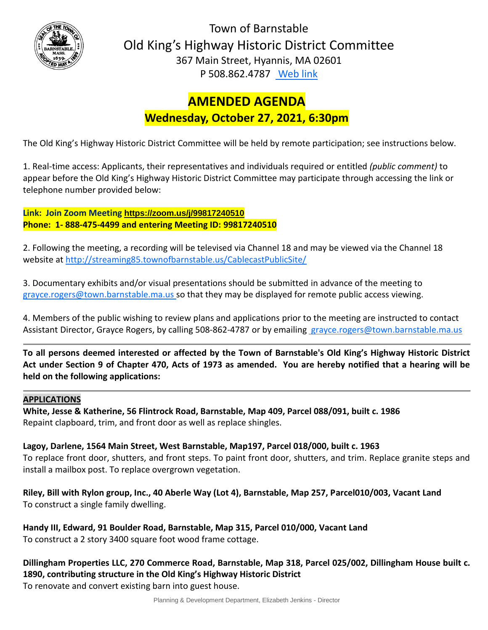

Town of Barnstable Old King's Highway Historic District Committee 367 Main Street, Hyannis, MA 02601 P 508.862.4787 [Web link](https://tobweb.town.barnstable.ma.us/boardscommittees/OldKingsHighway/?brd=Old+King%27s+Highway&year=2021)

# **AMENDED AGENDA Wednesday, October 27, 2021, 6:30pm**

The Old King's Highway Historic District Committee will be held by remote participation; see instructions below.

1. Real-time access: Applicants, their representatives and individuals required or entitled *(public comment)* to appear before the Old King's Highway Historic District Committee may participate through accessing the link or telephone number provided below:

**Link: Join Zoom Meeting <https://zoom.us/j/99817240510> Phone: 1- 888-475-4499 and entering Meeting ID: 99817240510**

2. Following the meeting, a recording will be televised via Channel 18 and may be viewed via the Channel 18 website at<http://streaming85.townofbarnstable.us/CablecastPublicSite/>

3. Documentary exhibits and/or visual presentations should be submitted in advance of the meeting to grayce.rogers@town.barnstable.ma.us so that they may be displayed for remote public access viewing.

4. Members of the public wishing to review plans and applications prior to the meeting are instructed to contact Assistant Director, Grayce Rogers, by calling 508-862-4787 or by emailing [grayce.rogers@town.barnstable.ma.us](mailto:grayce.rogers@town.barnstable.ma.us)

**To all persons deemed interested or affected by the Town of Barnstable's Old King's Highway Historic District Act under Section 9 of Chapter 470, Acts of 1973 as amended. You are hereby notified that a hearing will be held on the following applications:**

# **APPLICATIONS**

**White, Jesse & Katherine, 56 Flintrock Road, Barnstable, Map 409, Parcel 088/091, built c. 1986** Repaint clapboard, trim, and front door as well as replace shingles.

**Lagoy, Darlene, 1564 Main Street, West Barnstable, Map197, Parcel 018/000, built c. 1963** To replace front door, shutters, and front steps. To paint front door, shutters, and trim. Replace granite steps and install a mailbox post. To replace overgrown vegetation.

**Riley, Bill with Rylon group, Inc., 40 Aberle Way (Lot 4), Barnstable, Map 257, Parcel010/003, Vacant Land** To construct a single family dwelling.

**Handy III, Edward, 91 Boulder Road, Barnstable, Map 315, Parcel 010/000, Vacant Land**  To construct a 2 story 3400 square foot wood frame cottage.

**Dillingham Properties LLC, 270 Commerce Road, Barnstable, Map 318, Parcel 025/002, Dillingham House built c. 1890, contributing structure in the Old King's Highway Historic District**  To renovate and convert existing barn into guest house.